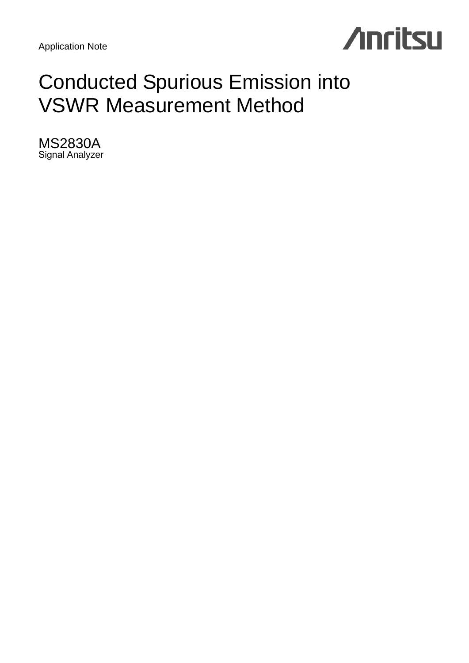

# Conducted Spurious Emission into VSWR Measurement Method

MS2830A Signal Analyzer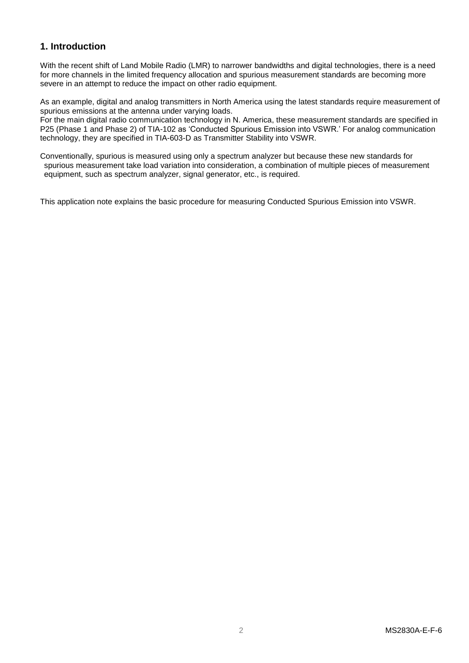# **1. Introduction**

With the recent shift of Land Mobile Radio (LMR) to narrower bandwidths and digital technologies, there is a need for more channels in the limited frequency allocation and spurious measurement standards are becoming more severe in an attempt to reduce the impact on other radio equipment.

As an example, digital and analog transmitters in North America using the latest standards require measurement of spurious emissions at the antenna under varying loads.

For the main digital radio communication technology in N. America, these measurement standards are specified in P25 (Phase 1 and Phase 2) of TIA-102 as 'Conducted Spurious Emission into VSWR.' For analog communication technology, they are specified in TIA-603-D as Transmitter Stability into VSWR.

Conventionally, spurious is measured using only a spectrum analyzer but because these new standards for spurious measurement take load variation into consideration, a combination of multiple pieces of measurement equipment, such as spectrum analyzer, signal generator, etc., is required.

This application note explains the basic procedure for measuring Conducted Spurious Emission into VSWR.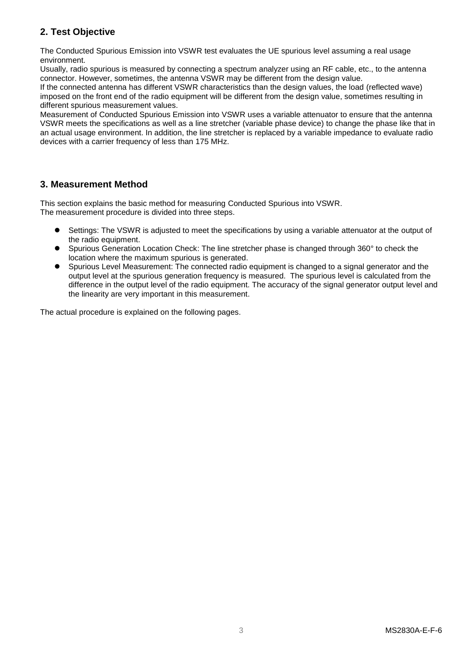# **2. Test Objective**

The Conducted Spurious Emission into VSWR test evaluates the UE spurious level assuming a real usage environment.

Usually, radio spurious is measured by connecting a spectrum analyzer using an RF cable, etc., to the antenna connector. However, sometimes, the antenna VSWR may be different from the design value.

If the connected antenna has different VSWR characteristics than the design values, the load (reflected wave) imposed on the front end of the radio equipment will be different from the design value, sometimes resulting in different spurious measurement values.

Measurement of Conducted Spurious Emission into VSWR uses a variable attenuator to ensure that the antenna VSWR meets the specifications as well as a line stretcher (variable phase device) to change the phase like that in an actual usage environment. In addition, the line stretcher is replaced by a variable impedance to evaluate radio devices with a carrier frequency of less than 175 MHz.

# **3. Measurement Method**

This section explains the basic method for measuring Conducted Spurious into VSWR. The measurement procedure is divided into three steps.

- Settings: The VSWR is adjusted to meet the specifications by using a variable attenuator at the output of the radio equipment.
- Spurious Generation Location Check: The line stretcher phase is changed through 360° to check the location where the maximum spurious is generated.
- Spurious Level Measurement: The connected radio equipment is changed to a signal generator and the output level at the spurious generation frequency is measured. The spurious level is calculated from the difference in the output level of the radio equipment. The accuracy of the signal generator output level and the linearity are very important in this measurement.

The actual procedure is explained on the following pages.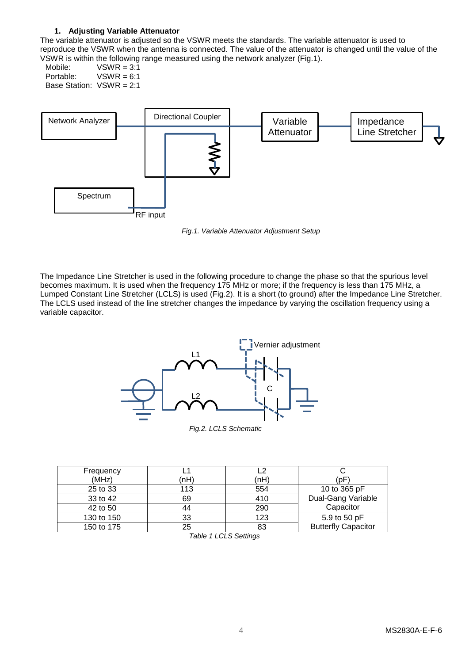## **1. Adjusting Variable Attenuator**

The variable attenuator is adjusted so the VSWR meets the standards. The variable attenuator is used to reproduce the VSWR when the antenna is connected. The value of the attenuator is changed until the value of the VSWR is within the following range measured using the network analyzer (Fig.1).

Mobile:  $VSWR = 3:1$ <br>Portable:  $VSWR = 6:1$  $VSWR = 6:1$ Base Station: VSWR = 2:1



*Fig.1. Variable Attenuator Adjustment Setup*

The Impedance Line Stretcher is used in the following procedure to change the phase so that the spurious level becomes maximum. It is used when the frequency 175 MHz or more; if the frequency is less than 175 MHz, a Lumped Constant Line Stretcher (LCLS) is used (Fig.2). It is a short (to ground) after the Impedance Line Stretcher. The LCLS used instead of the line stretcher changes the impedance by varying the oscillation frequency using a variable capacitor.



| Frequency  |      | L2   |                            |
|------------|------|------|----------------------------|
| (MHz)      | (nH) | (nH) | (pF`                       |
| 25 to 33   | 113  | 554  | 10 to 365 pF               |
| 33 to 42   | 69   | 410  | Dual-Gang Variable         |
| 42 to 50   | 44   | 290  | Capacitor                  |
| 130 to 150 | 33   | 123  | 5.9 to 50 pF               |
| 150 to 175 | 25   | 83   | <b>Butterfly Capacitor</b> |

*Table 1 LCLS Settings*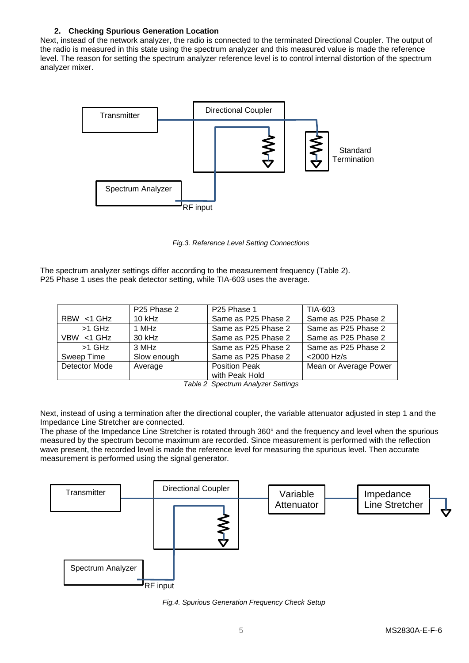# **2. Checking Spurious Generation Location**

Next, instead of the network analyzer, the radio is connected to the terminated Directional Coupler. The output of the radio is measured in this state using the spectrum analyzer and this measured value is made the reference level. The reason for setting the spectrum analyzer reference level is to control internal distortion of the spectrum analyzer mixer.



*Fig.3. Reference Level Setting Connections*

The spectrum analyzer settings differ according to the measurement frequency (Table 2). P25 Phase 1 uses the peak detector setting, while TIA-603 uses the average.

|               | P <sub>25</sub> Phase 2 | P <sub>25</sub> Phase 1 | TIA-603               |
|---------------|-------------------------|-------------------------|-----------------------|
| $RBW < 1$ GHz | $10$ kHz                | Same as P25 Phase 2     | Same as P25 Phase 2   |
| $>1$ GHz      | 1 MHz                   | Same as P25 Phase 2     | Same as P25 Phase 2   |
| VBW <1 GHz    | 30 kHz                  | Same as P25 Phase 2     | Same as P25 Phase 2   |
| $>1$ GHz      | 3 MHz                   | Same as P25 Phase 2     | Same as P25 Phase 2   |
| Sweep Time    | Slow enough             | Same as P25 Phase 2     | <2000 Hz/s            |
| Detector Mode | Average                 | <b>Position Peak</b>    | Mean or Average Power |
|               |                         | with Peak Hold          |                       |

*Table 2 Spectrum Analyzer Settings*

Next, instead of using a termination after the directional coupler, the variable attenuator adjusted in step 1 and the Impedance Line Stretcher are connected.

The phase of the Impedance Line Stretcher is rotated through 360° and the frequency and level when the spurious measured by the spectrum become maximum are recorded. Since measurement is performed with the reflection wave present, the recorded level is made the reference level for measuring the spurious level. Then accurate measurement is performed using the signal generator.



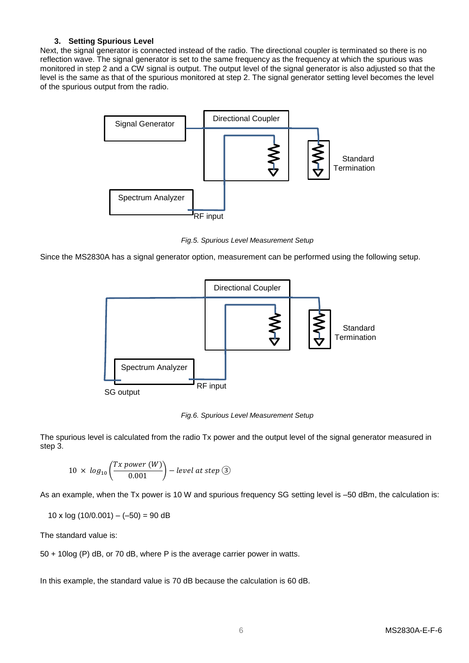## **3. Setting Spurious Level**

Next, the signal generator is connected instead of the radio. The directional coupler is terminated so there is no reflection wave. The signal generator is set to the same frequency as the frequency at which the spurious was monitored in step 2 and a CW signal is output. The output level of the signal generator is also adjusted so that the level is the same as that of the spurious monitored at step 2. The signal generator setting level becomes the level of the spurious output from the radio.



*Fig.5. Spurious Level Measurement Setup*

Since the MS2830A has a signal generator option, measurement can be performed using the following setup.



*Fig.6. Spurious Level Measurement Setup*

The spurious level is calculated from the radio Tx power and the output level of the signal generator measured in step 3.

$$
10 \times log_{10}\left(\frac{Tx \ power (W)}{0.001}\right) - level \ at \ step \textcircled{3}
$$

As an example, when the Tx power is 10 W and spurious frequency SG setting level is –50 dBm, the calculation is:

 $10 \times \log (10/0.001) - (-50) = 90$  dB

The standard value is:

50 + 10log (P) dB, or 70 dB, where P is the average carrier power in watts.

In this example, the standard value is 70 dB because the calculation is 60 dB.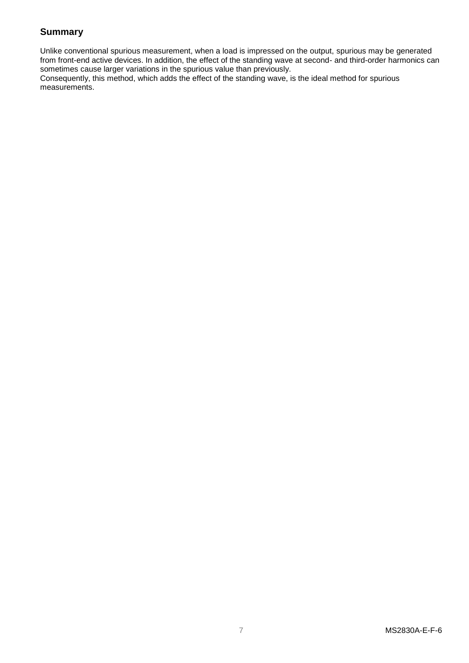# **Summary**

Unlike conventional spurious measurement, when a load is impressed on the output, spurious may be generated from front-end active devices. In addition, the effect of the standing wave at second- and third-order harmonics can sometimes cause larger variations in the spurious value than previously.

Consequently, this method, which adds the effect of the standing wave, is the ideal method for spurious measurements.